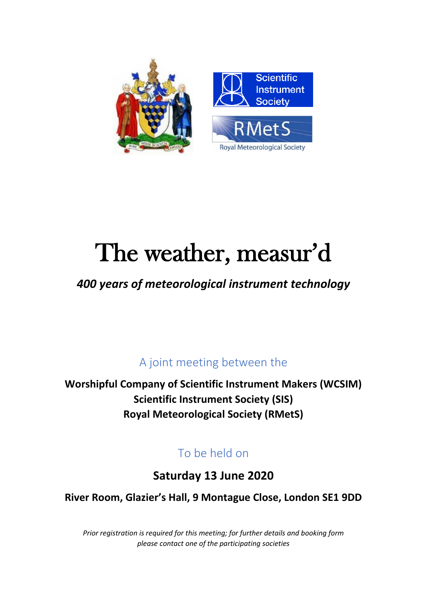

# The weather, measur'd

# *400 years of meteorological instrument technology*

A joint meeting between the

**Worshipful Company of Scientific Instrument Makers (WCSIM) Scientific Instrument Society (SIS) Royal Meteorological Society (RMetS)**

# To be held on

**Saturday 13 June 2020**

**River Room, Glazier's Hall, 9 Montague Close, London SE1 9DD**

*Prior registration is required for this meeting; for further details and booking form please contact one of the participating societies*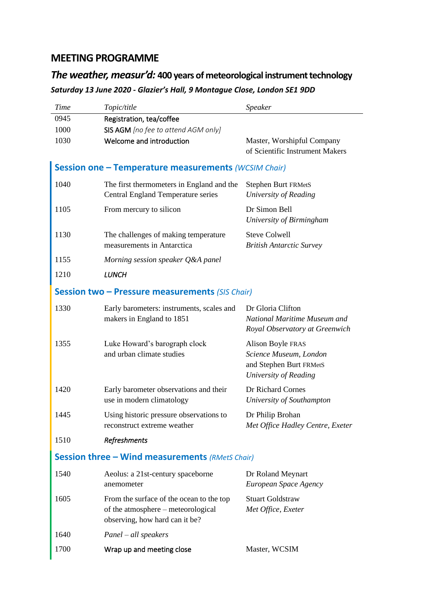## **MEETING PROGRAMME**

## *The weather, measur'd:* **400 years of meteorological instrument technology** *Saturday 13 June 2020 - Glazier's Hall, 9 Montague Close, London SE1 9DD*

| <b>Time</b>                                            | Topic/title                                                                                                      | Speaker                                                                                         |
|--------------------------------------------------------|------------------------------------------------------------------------------------------------------------------|-------------------------------------------------------------------------------------------------|
| 0945                                                   | Registration, tea/coffee                                                                                         |                                                                                                 |
| 1000                                                   | SIS AGM [no fee to attend AGM only]                                                                              |                                                                                                 |
| 1030                                                   | Welcome and introduction                                                                                         | Master, Worshipful Company<br>of Scientific Instrument Makers                                   |
| Session one - Temperature measurements (WCSIM Chair)   |                                                                                                                  |                                                                                                 |
| 1040                                                   | The first thermometers in England and the<br><b>Central England Temperature series</b>                           | Stephen Burt FRMetS<br>University of Reading                                                    |
| 1105                                                   | From mercury to silicon                                                                                          | Dr Simon Bell<br>University of Birmingham                                                       |
| 1130                                                   | The challenges of making temperature<br>measurements in Antarctica                                               | <b>Steve Colwell</b><br><b>British Antarctic Survey</b>                                         |
| 1155                                                   | Morning session speaker Q&A panel                                                                                |                                                                                                 |
| 1210                                                   | <b>LUNCH</b>                                                                                                     |                                                                                                 |
| <b>Session two - Pressure measurements (SIS Chair)</b> |                                                                                                                  |                                                                                                 |
| 1330                                                   | Early barometers: instruments, scales and<br>makers in England to 1851                                           | Dr Gloria Clifton<br>National Maritime Museum and<br>Royal Observatory at Greenwich             |
| 1355                                                   | Luke Howard's barograph clock<br>and urban climate studies                                                       | Alison Boyle FRAS<br>Science Museum, London<br>and Stephen Burt FRMetS<br>University of Reading |
| 1420                                                   | Early barometer observations and their<br>use in modern climatology                                              | Dr Richard Cornes<br>University of Southampton                                                  |
| 1445                                                   | Using historic pressure observations to<br>reconstruct extreme weather                                           | Dr Philip Brohan<br>Met Office Hadley Centre, Exeter                                            |
| 1510                                                   | Refreshments                                                                                                     |                                                                                                 |
| <b>Session three - Wind measurements (RMetS Chair)</b> |                                                                                                                  |                                                                                                 |
| 1540                                                   | Aeolus: a 21st-century spaceborne<br>anemometer                                                                  | Dr Roland Meynart<br>European Space Agency                                                      |
| 1605                                                   | From the surface of the ocean to the top<br>of the atmosphere – meteorological<br>observing, how hard can it be? | <b>Stuart Goldstraw</b><br>Met Office, Exeter                                                   |
| 1640                                                   | $Panel - all speakers$                                                                                           |                                                                                                 |
| 1700                                                   | Wrap up and meeting close                                                                                        | Master, WCSIM                                                                                   |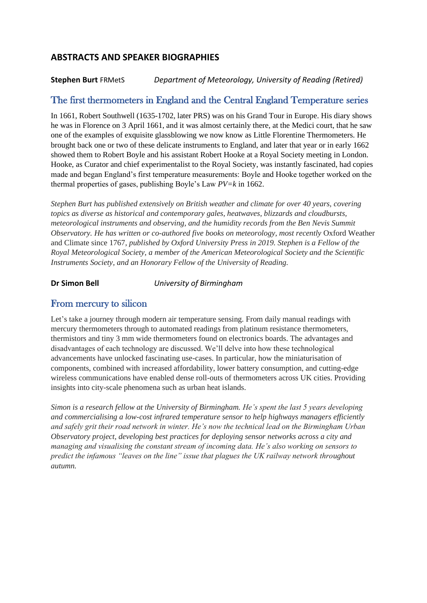#### **ABSTRACTS AND SPEAKER BIOGRAPHIES**

#### **Stephen Burt** FRMetS *Department of Meteorology, University of Reading (Retired)*

#### The first thermometers in England and the Central England Temperature series

In 1661, Robert Southwell (1635-1702, later PRS) was on his Grand Tour in Europe. His diary shows he was in Florence on 3 April 1661, and it was almost certainly there, at the Medici court, that he saw one of the examples of exquisite glassblowing we now know as Little Florentine Thermometers. He brought back one or two of these delicate instruments to England, and later that year or in early 1662 showed them to Robert Boyle and his assistant Robert Hooke at a Royal Society meeting in London. Hooke, as Curator and chief experimentalist to the Royal Society, was instantly fascinated, had copies made and began England's first temperature measurements: Boyle and Hooke together worked on the thermal properties of gases, publishing Boyle's Law *PV=k* in 1662.

*Stephen Burt has published extensively on British weather and climate for over 40 years, covering topics as diverse as historical and contemporary gales, heatwaves, blizzards and cloudbursts, meteorological instruments and observing, and the humidity records from the Ben Nevis Summit Observatory. He has written or co-authored five books on meteorology, most recently Oxford Weather* and Climate since 1767*, published by Oxford University Press in 2019. Stephen is a Fellow of the Royal Meteorological Society, a member of the American Meteorological Society and the Scientific Instruments Society, and an Honorary Fellow of the University of Reading.*

**Dr Simon Bell** *University of Birmingham*

#### From mercury to silicon

Let's take a journey through modern air temperature sensing. From daily manual readings with mercury thermometers through to automated readings from platinum resistance thermometers, thermistors and tiny 3 mm wide thermometers found on electronics boards. The advantages and disadvantages of each technology are discussed. We'll delve into how these technological advancements have unlocked fascinating use-cases. In particular, how the miniaturisation of components, combined with increased affordability, lower battery consumption, and cutting-edge wireless communications have enabled dense roll-outs of thermometers across UK cities. Providing insights into city-scale phenomena such as urban heat islands.

*Simon is a research fellow at the University of Birmingham. He's spent the last 5 years developing and commercialising a low-cost infrared temperature sensor to help highways managers efficiently and safely grit their road network in winter. He's now the technical lead on the Birmingham Urban Observatory project, developing best practices for deploying sensor networks across a city and managing and visualising the constant stream of incoming data. He's also working on sensors to predict the infamous "leaves on the line" issue that plagues the UK railway network throughout autumn.*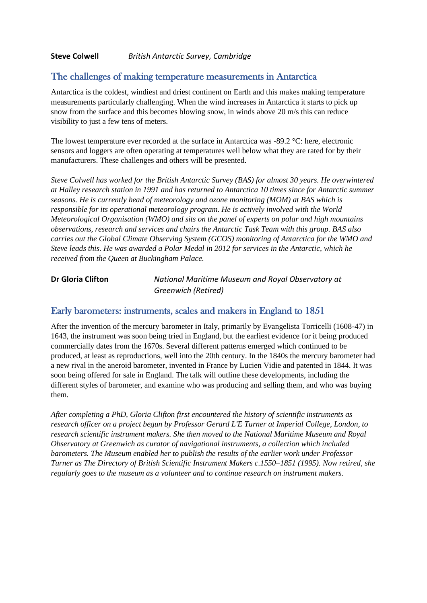#### **Steve Colwell** *British Antarctic Survey, Cambridge*

#### The challenges of making temperature measurements in Antarctica

Antarctica is the coldest, windiest and driest continent on Earth and this makes making temperature measurements particularly challenging. When the wind increases in Antarctica it starts to pick up snow from the surface and this becomes blowing snow, in winds above 20 m/s this can reduce visibility to just a few tens of meters.

The lowest temperature ever recorded at the surface in Antarctica was -89.2 °C: here, electronic sensors and loggers are often operating at temperatures well below what they are rated for by their manufacturers. These challenges and others will be presented.

*Steve Colwell has worked for the British Antarctic Survey (BAS) for almost 30 years. He overwintered at Halley research station in 1991 and has returned to Antarctica 10 times since for Antarctic summer seasons. He is currently head of meteorology and ozone monitoring (MOM) at BAS which is responsible for its operational meteorology program. He is actively involved with the World Meteorological Organisation (WMO) and sits on the panel of experts on polar and high mountains observations, research and services and chairs the Antarctic Task Team with this group. BAS also carries out the Global Climate Observing System (GCOS) monitoring of Antarctica for the WMO and Steve leads this. He was awarded a Polar Medal in 2012 for services in the Antarctic, which he received from the Queen at Buckingham Palace.*

**Dr Gloria Clifton** *National Maritime Museum and Royal Observatory at Greenwich (Retired)*

#### Early barometers: instruments, scales and makers in England to 1851

After the invention of the mercury barometer in Italy, primarily by Evangelista Torricelli (1608-47) in 1643, the instrument was soon being tried in England, but the earliest evidence for it being produced commercially dates from the 1670s. Several different patterns emerged which continued to be produced, at least as reproductions, well into the 20th century. In the 1840s the mercury barometer had a new rival in the aneroid barometer, invented in France by Lucien Vidie and patented in 1844. It was soon being offered for sale in England. The talk will outline these developments, including the different styles of barometer, and examine who was producing and selling them, and who was buying them.

*After completing a PhD, Gloria Clifton first encountered the history of scientific instruments as research officer on a project begun by Professor Gerard L'E Turner at Imperial College, London, to research scientific instrument makers. She then moved to the National Maritime Museum and Royal Observatory at Greenwich as curator of navigational instruments, a collection which included barometers. The Museum enabled her to publish the results of the earlier work under Professor Turner as The Directory of British Scientific Instrument Makers c.1550–1851 (1995). Now retired, she regularly goes to the museum as a volunteer and to continue research on instrument makers.*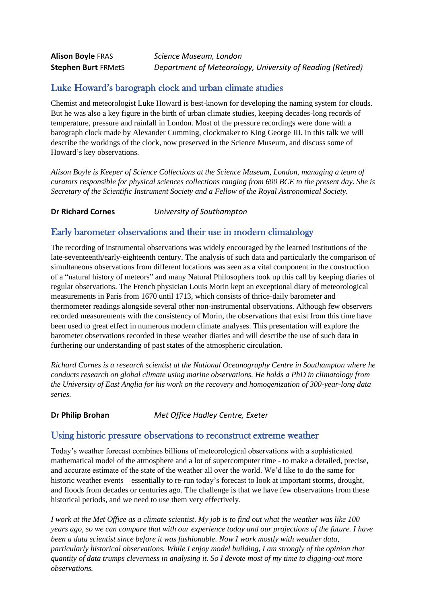#### Luke Howard's barograph clock and urban climate studies

Chemist and meteorologist Luke Howard is best-known for developing the naming system for clouds. But he was also a key figure in the birth of urban climate studies, keeping decades-long records of temperature, pressure and rainfall in London. Most of the pressure recordings were done with a barograph clock made by Alexander Cumming, clockmaker to King George III. In this talk we will describe the workings of the clock, now preserved in the Science Museum, and discuss some of Howard's key observations.

*Alison Boyle is Keeper of Science Collections at the Science Museum, London, managing a team of curators responsible for physical sciences collections ranging from 600 BCE to the present day. She is Secretary of the Scientific Instrument Society and a Fellow of the Royal Astronomical Society.*

**Dr Richard Cornes** *University of Southampton*

#### Early barometer observations and their use in modern climatology

The recording of instrumental observations was widely encouraged by the learned institutions of the late-seventeenth/early-eighteenth century. The analysis of such data and particularly the comparison of simultaneous observations from different locations was seen as a vital component in the construction of a "natural history of meteors" and many Natural Philosophers took up this call by keeping diaries of regular observations. The French physician Louis Morin kept an exceptional diary of meteorological measurements in Paris from 1670 until 1713, which consists of thrice-daily barometer and thermometer readings alongside several other non-instrumental observations. Although few observers recorded measurements with the consistency of Morin, the observations that exist from this time have been used to great effect in numerous modern climate analyses. This presentation will explore the barometer observations recorded in these weather diaries and will describe the use of such data in furthering our understanding of past states of the atmospheric circulation.

*Richard Cornes is a research scientist at the National Oceanography Centre in Southampton where he conducts research on global climate using marine observations. He holds a PhD in climatology from the University of East Anglia for his work on the recovery and homogenization of 300-year-long data series.*

**Dr Philip Brohan** *Met Office Hadley Centre, Exeter*

#### Using historic pressure observations to reconstruct extreme weather

Today's weather forecast combines billions of meteorological observations with a sophisticated mathematical model of the atmosphere and a lot of supercomputer time - to make a detailed, precise, and accurate estimate of the state of the weather all over the world. We'd like to do the same for historic weather events – essentially to re-run today's forecast to look at important storms, drought, and floods from decades or centuries ago. The challenge is that we have few observations from these historical periods, and we need to use them very effectively.

*I work at the Met Office as a climate scientist. My job is to find out what the weather was like 100 years ago, so we can compare that with our experience today and our projections of the future. I have been a data scientist since before it was fashionable. Now I work mostly with weather data, particularly historical observations. While I enjoy model building, I am strongly of the opinion that quantity of data trumps cleverness in analysing it. So I devote most of my time to digging-out more observations.*